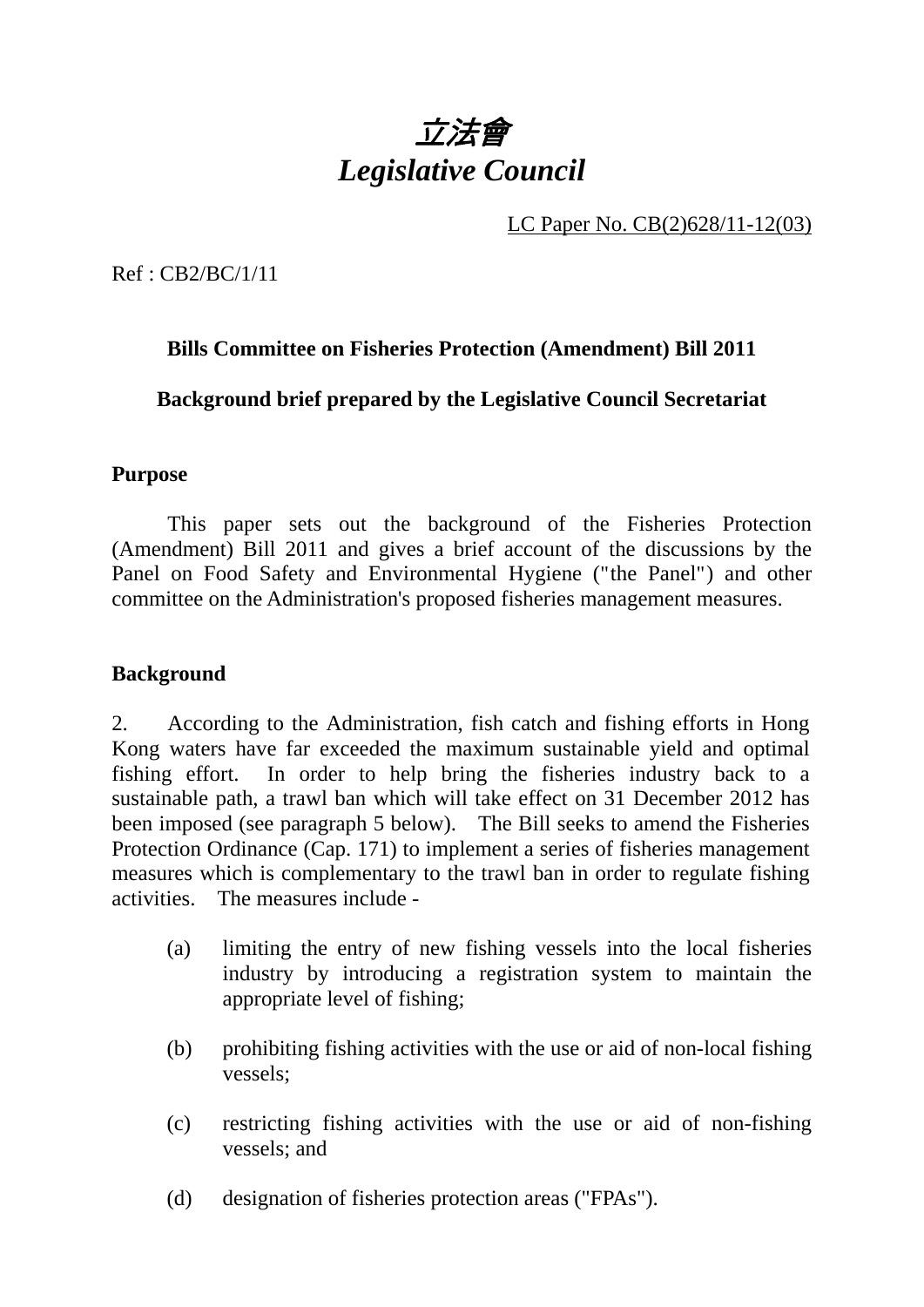

LC Paper No. CB(2)628/11-12(03)

Ref : CB2/BC/1/11

## **Bills Committee on Fisheries Protection (Amendment) Bill 2011**

**Background brief prepared by the Legislative Council Secretariat** 

#### **Purpose**

1. This paper sets out the background of the Fisheries Protection (Amendment) Bill 2011 and gives a brief account of the discussions by the Panel on Food Safety and Environmental Hygiene ("the Panel") and other committee on the Administration's proposed fisheries management measures.

### **Background**

2. According to the Administration, fish catch and fishing efforts in Hong Kong waters have far exceeded the maximum sustainable yield and optimal fishing effort. In order to help bring the fisheries industry back to a sustainable path, a trawl ban which will take effect on 31 December 2012 has been imposed (see paragraph 5 below). The Bill seeks to amend the Fisheries Protection Ordinance (Cap. 171) to implement a series of fisheries management measures which is complementary to the trawl ban in order to regulate fishing activities. The measures include -

- (a) limiting the entry of new fishing vessels into the local fisheries industry by introducing a registration system to maintain the appropriate level of fishing;
- (b) prohibiting fishing activities with the use or aid of non-local fishing vessels;
- (c) restricting fishing activities with the use or aid of non-fishing vessels; and
- (d) designation of fisheries protection areas ("FPAs").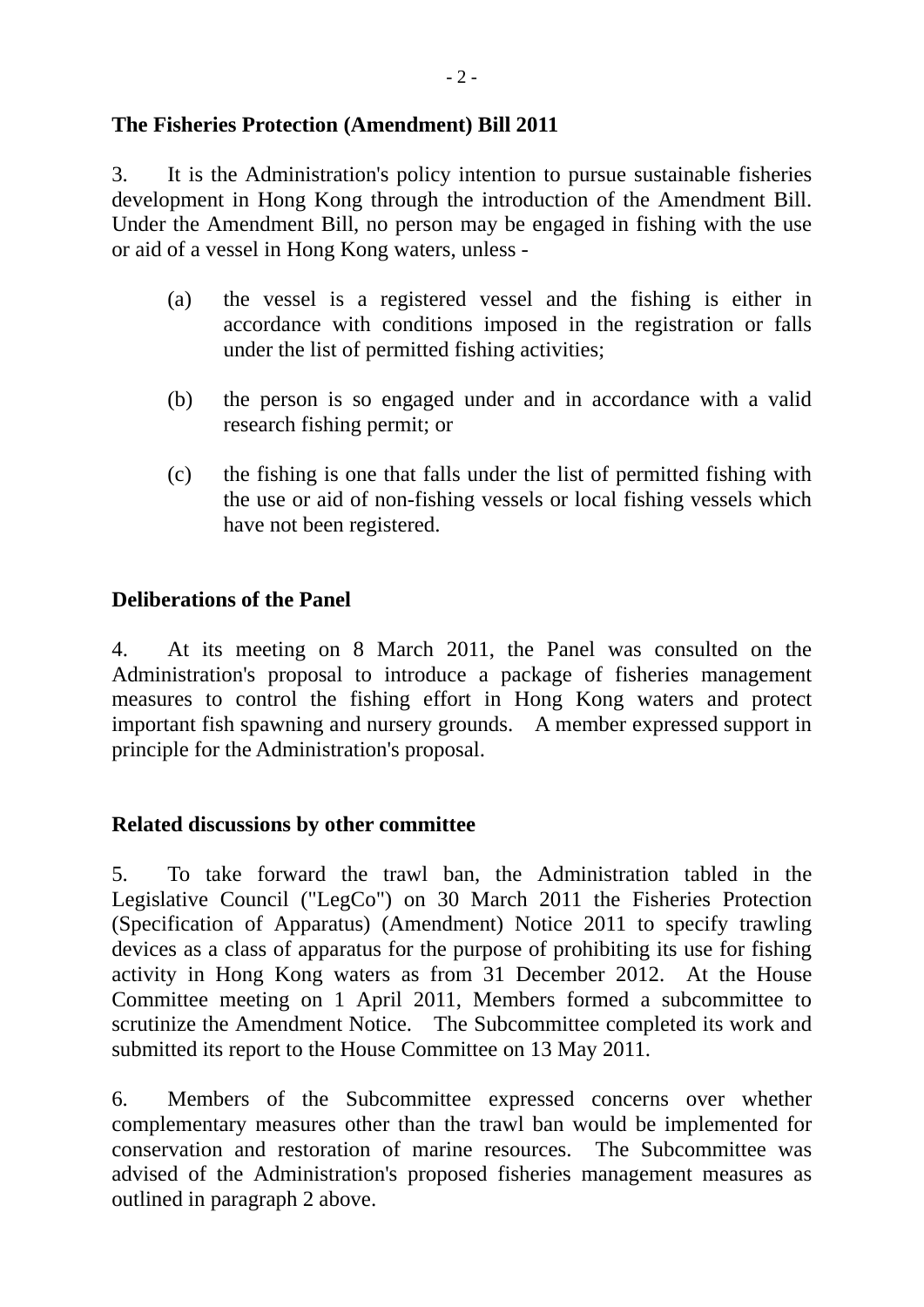#### **The Fisheries Protection (Amendment) Bill 2011**

3. It is the Administration's policy intention to pursue sustainable fisheries development in Hong Kong through the introduction of the Amendment Bill. Under the Amendment Bill, no person may be engaged in fishing with the use or aid of a vessel in Hong Kong waters, unless -

- (a) the vessel is a registered vessel and the fishing is either in accordance with conditions imposed in the registration or falls under the list of permitted fishing activities;
- (b) the person is so engaged under and in accordance with a valid research fishing permit; or
- (c) the fishing is one that falls under the list of permitted fishing with the use or aid of non-fishing vessels or local fishing vessels which have not been registered.

### **Deliberations of the Panel**

4. At its meeting on 8 March 2011, the Panel was consulted on the Administration's proposal to introduce a package of fisheries management measures to control the fishing effort in Hong Kong waters and protect important fish spawning and nursery grounds. A member expressed support in principle for the Administration's proposal.

### **Related discussions by other committee**

5. To take forward the trawl ban, the Administration tabled in the Legislative Council ("LegCo") on 30 March 2011 the Fisheries Protection (Specification of Apparatus) (Amendment) Notice 2011 to specify trawling devices as a class of apparatus for the purpose of prohibiting its use for fishing activity in Hong Kong waters as from 31 December 2012. At the House Committee meeting on 1 April 2011, Members formed a subcommittee to scrutinize the Amendment Notice. The Subcommittee completed its work and submitted its report to the House Committee on 13 May 2011.

6. Members of the Subcommittee expressed concerns over whether complementary measures other than the trawl ban would be implemented for conservation and restoration of marine resources. The Subcommittee was advised of the Administration's proposed fisheries management measures as outlined in paragraph 2 above.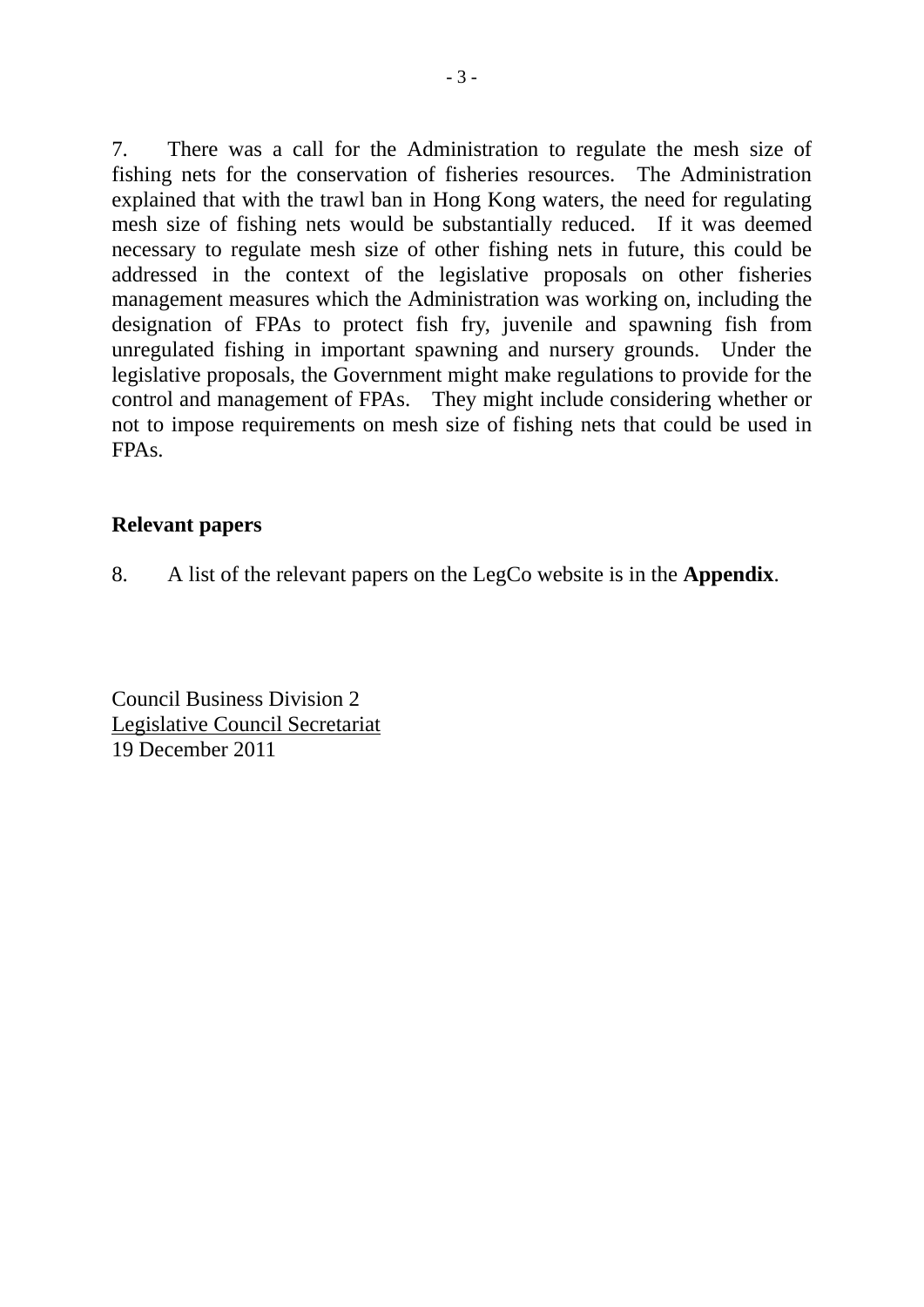7. There was a call for the Administration to regulate the mesh size of fishing nets for the conservation of fisheries resources. The Administration explained that with the trawl ban in Hong Kong waters, the need for regulating mesh size of fishing nets would be substantially reduced. If it was deemed necessary to regulate mesh size of other fishing nets in future, this could be addressed in the context of the legislative proposals on other fisheries management measures which the Administration was working on, including the designation of FPAs to protect fish fry, juvenile and spawning fish from unregulated fishing in important spawning and nursery grounds. Under the legislative proposals, the Government might make regulations to provide for the control and management of FPAs. They might include considering whether or not to impose requirements on mesh size of fishing nets that could be used in FPAs.

### **Relevant papers**

8. A list of the relevant papers on the LegCo website is in the **Appendix**.

Council Business Division 2 Legislative Council Secretariat 19 December 2011